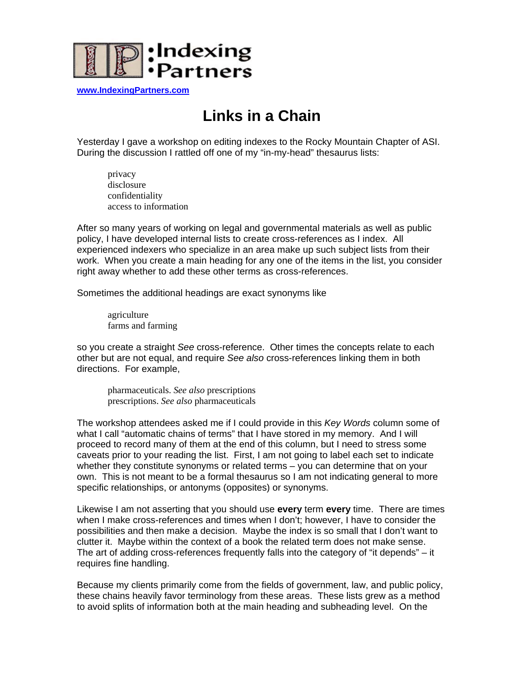

**[www.IndexingPartners.com](http://www.indexingpartners.com/)**

## **Links in a Chain**

Yesterday I gave a workshop on editing indexes to the Rocky Mountain Chapter of ASI. During the discussion I rattled off one of my "in-my-head" thesaurus lists:

privacy disclosure confidentiality access to information

After so many years of working on legal and governmental materials as well as public policy, I have developed internal lists to create cross-references as I index. All experienced indexers who specialize in an area make up such subject lists from their work. When you create a main heading for any one of the items in the list, you consider right away whether to add these other terms as cross-references.

Sometimes the additional headings are exact synonyms like

 agriculture farms and farming

so you create a straight *See* cross-reference. Other times the concepts relate to each other but are not equal, and require *See also* cross-references linking them in both directions. For example,

pharmaceuticals. *See also* prescriptions prescriptions. *See also* pharmaceuticals

The workshop attendees asked me if I could provide in this *Key Words* column some of what I call "automatic chains of terms" that I have stored in my memory. And I will proceed to record many of them at the end of this column, but I need to stress some caveats prior to your reading the list. First, I am not going to label each set to indicate whether they constitute synonyms or related terms – you can determine that on your own. This is not meant to be a formal thesaurus so I am not indicating general to more specific relationships, or antonyms (opposites) or synonyms.

Likewise I am not asserting that you should use **every** term **every** time. There are times when I make cross-references and times when I don't; however, I have to consider the possibilities and then make a decision. Maybe the index is so small that I don't want to clutter it. Maybe within the context of a book the related term does not make sense. The art of adding cross-references frequently falls into the category of "it depends" – it requires fine handling.

Because my clients primarily come from the fields of government, law, and public policy, these chains heavily favor terminology from these areas. These lists grew as a method to avoid splits of information both at the main heading and subheading level. On the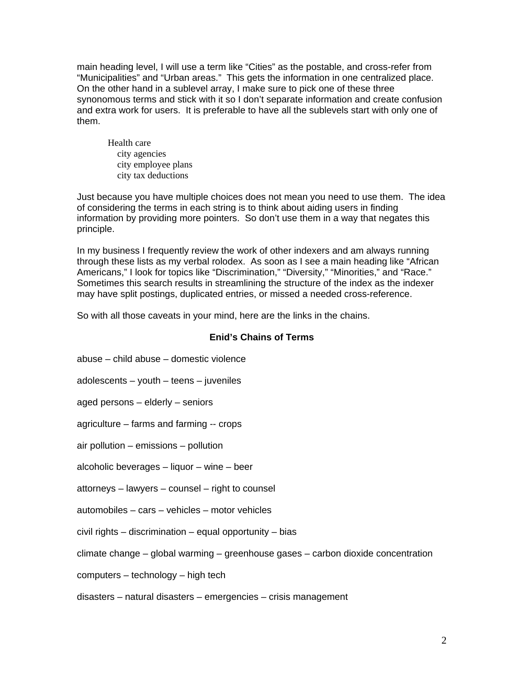main heading level, I will use a term like "Cities" as the postable, and cross-refer from "Municipalities" and "Urban areas." This gets the information in one centralized place. On the other hand in a sublevel array, I make sure to pick one of these three synonomous terms and stick with it so I don't separate information and create confusion and extra work for users. It is preferable to have all the sublevels start with only one of them.

Health care city agencies city employee plans city tax deductions

Just because you have multiple choices does not mean you need to use them. The idea of considering the terms in each string is to think about aiding users in finding information by providing more pointers. So don't use them in a way that negates this principle.

In my business I frequently review the work of other indexers and am always running through these lists as my verbal rolodex. As soon as I see a main heading like "African Americans," I look for topics like "Discrimination," "Diversity," "Minorities," and "Race." Sometimes this search results in streamlining the structure of the index as the indexer may have split postings, duplicated entries, or missed a needed cross-reference.

So with all those caveats in your mind, here are the links in the chains.

## **Enid's Chains of Terms**

| abuse – child abuse – domestic violence                                           |
|-----------------------------------------------------------------------------------|
| adolescents – youth – teens – juveniles                                           |
| aged persons – elderly – seniors                                                  |
| agriculture – farms and farming -- crops                                          |
| air pollution - emissions - pollution                                             |
| alcoholic beverages – liquor – wine – beer                                        |
| attorneys - lawyers - counsel - right to counsel                                  |
| automobiles - cars - vehicles - motor vehicles                                    |
| civil rights – discrimination – equal opportunity – bias                          |
| climate change – global warming – greenhouse gases – carbon dioxide concentration |
| computers – technology – high tech                                                |
| disasters – natural disasters – emergencies – crisis management                   |
|                                                                                   |